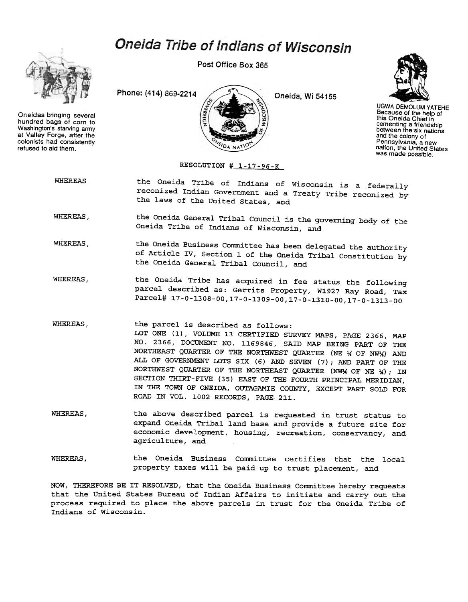## Oneida Tribe of Indians of Wisconsin



Oneidas bringing several hundred bags of corn to Washington's starving army at Valley Forge, after the colonists had consistently refused to aid them.

Post Office Box 365





UGWA DEMOLUM YATEHE Because of the help of this Oneida Chief in cementing a friendship between the six nations and the colony of Pennsylvania, a new nation, the United States was made possible.

## RESOLUTION  $\#$  1-17-96-K

WHEREAS the Oneida Tribe of Indians of Wisconsin is a federally reconized Indian Government and a Treaty Tribe reconized by the laws of the United States, and

WHEREAS, the Oneida General Tribal Council is the governing body of the Oneida Tribe of Indians of Wisconsin, and

- WHEREAS, the Oneida Business Committee has been delegated the authority of Article IV, Section 1 of the Oneida Tribal Constitution by the Oneida General Tribal Council, and
- WHEREAS, the Oneida Tribe has acquired in fee status the following parcel described as: Gerrits Property, W1927 Ray Road, Tax Parcel# 17-0-1308-00,17-0-1309-00,17-0-1310-00,17-0-1313-00

WHEREAS, the parcel is described as follows: LOT ONE (1), VOLUME 13 CERTIFIED SURVEY MAPS, PAGE 2366, MAP NO. 2366, DOCUMENT NO. 1169846, SAID MAP BEING PART OF THE NORTHEAST QUARTER OF THE NORTHWEST QUARTER (NE  $\frac{1}{2}$  OF NW $\frac{1}{2}$ ) AND ALL OF GOVERNMENT LOTS SIX (6) AND SEVEN (7); AND PART OF THE NORTHWEST QUARTER OF THE NORTHEAST QUARTER (NWX OF NE  $\chi$ ); IN SECTION THIRT-FIVE (35) EAST OF THE FOURTH PRINCIPAL MERIDIAN, IN THE TOWN OF ONEIDA, OUTAGAMIE COUNTY, EXCEPT PART SOLD FOR ROAD IN VOL. 1002 RECORDS, PAGE 211.

- WHEREAS, the above described parcel is requested in trust status to expand Oneida Tribal land base and provide a future site for economic development, housing, recreation, conservancy, and agriculture, and
- WHEREAS, the Oneida Business Committee certifies that the local property taxes will be paid up to trust placement, and

NOW, THEREFORE BE IT RESOLVED, that the Oneida Business Committee hereby requests that the United States Bureau of Indian Affairs to initiate and carry out the process required to place the above parcels in trust for the Oneida Tribe of Indians of Wisconsin.